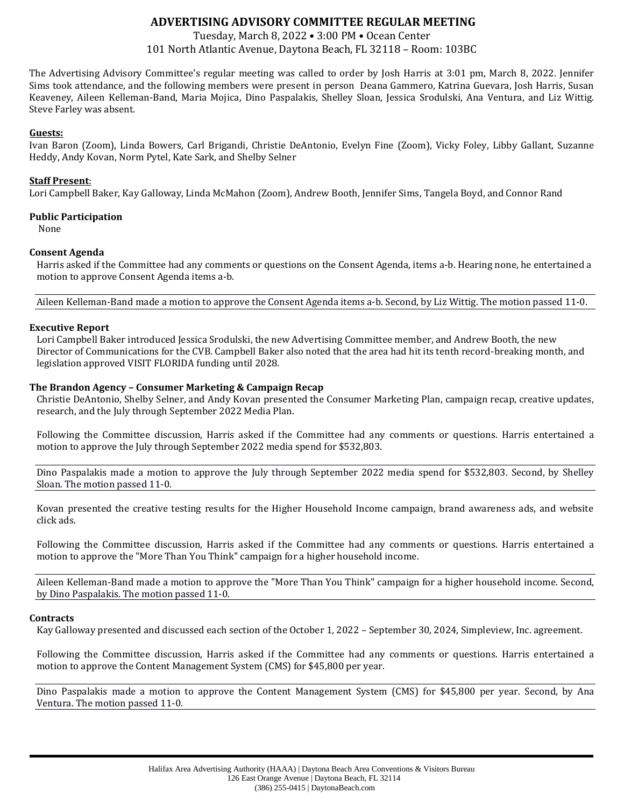# **ADVERTISING ADVISORY COMMITTEE REGULAR MEETING**

Tuesday, March 8, 2022 • 3:00 PM • Ocean Center 101 North Atlantic Avenue, Daytona Beach, FL 32118 – Room: 103BC

The Advertising Advisory Committee's regular meeting was called to order by Josh Harris at 3:01 pm, March 8, 2022. Jennifer Sims took attendance, and the following members were present in person Deana Gammero, Katrina Guevara, Josh Harris, Susan Keaveney, Aileen Kelleman-Band, Maria Mojica, Dino Paspalakis, Shelley Sloan, Jessica Srodulski, Ana Ventura, and Liz Wittig. Steve Farley was absent.

# **Guests:**

Ivan Baron (Zoom), Linda Bowers, Carl Brigandi, Christie DeAntonio, Evelyn Fine (Zoom), Vicky Foley, Libby Gallant, Suzanne Heddy, Andy Kovan, Norm Pytel, Kate Sark, and Shelby Selner

## **Staff Present**:

Lori Campbell Baker, Kay Galloway, Linda McMahon (Zoom), Andrew Booth, Jennifer Sims, Tangela Boyd, and Connor Rand

## **Public Participation**

None

# **Consent Agenda**

Harris asked if the Committee had any comments or questions on the Consent Agenda, items a-b. Hearing none, he entertained a motion to approve Consent Agenda items a-b.

Aileen Kelleman-Band made a motion to approve the Consent Agenda items a-b. Second, by Liz Wittig. The motion passed 11-0.

## **Executive Report**

Lori Campbell Baker introduced Jessica Srodulski, the new Advertising Committee member, and Andrew Booth, the new Director of Communications for the CVB. Campbell Baker also noted that the area had hit its tenth record-breaking month, and legislation approved VISIT FLORIDA funding until 2028.

## **The Brandon Agency – Consumer Marketing & Campaign Recap**

Christie DeAntonio, Shelby Selner, and Andy Kovan presented the Consumer Marketing Plan, campaign recap, creative updates, research, and the July through September 2022 Media Plan.

Following the Committee discussion, Harris asked if the Committee had any comments or questions. Harris entertained a motion to approve the July through September 2022 media spend for \$532,803.

Dino Paspalakis made a motion to approve the July through September 2022 media spend for \$532,803. Second, by Shelley Sloan. The motion passed 11-0.

Kovan presented the creative testing results for the Higher Household Income campaign, brand awareness ads, and website click ads.

Following the Committee discussion, Harris asked if the Committee had any comments or questions. Harris entertained a motion to approve the "More Than You Think" campaign for a higher household income.

Aileen Kelleman-Band made a motion to approve the "More Than You Think" campaign for a higher household income. Second, by Dino Paspalakis. The motion passed 11-0.

#### **Contracts**

Kay Galloway presented and discussed each section of the October 1, 2022 – September 30, 2024, Simpleview, Inc. agreement.

Following the Committee discussion, Harris asked if the Committee had any comments or questions. Harris entertained a motion to approve the Content Management System (CMS) for \$45,800 per year.

Dino Paspalakis made a motion to approve the Content Management System (CMS) for \$45,800 per year. Second, by Ana Ventura. The motion passed 11-0.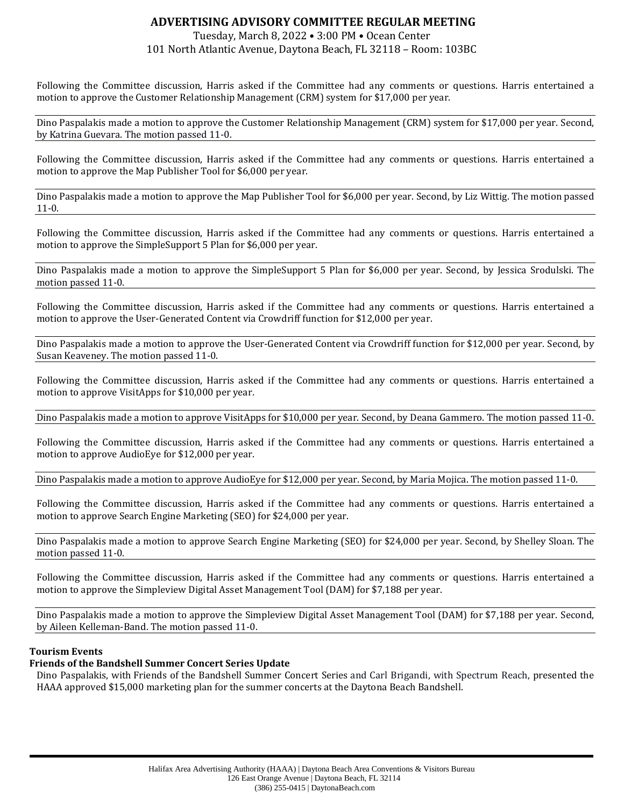# **ADVERTISING ADVISORY COMMITTEE REGULAR MEETING**

# Tuesday, March 8, 2022 • 3:00 PM • Ocean Center 101 North Atlantic Avenue, Daytona Beach, FL 32118 – Room: 103BC

Following the Committee discussion, Harris asked if the Committee had any comments or questions. Harris entertained a motion to approve the Customer Relationship Management (CRM) system for \$17,000 per year.

Dino Paspalakis made a motion to approve the Customer Relationship Management (CRM) system for \$17,000 per year. Second, by Katrina Guevara. The motion passed 11-0.

Following the Committee discussion, Harris asked if the Committee had any comments or questions. Harris entertained a motion to approve the Map Publisher Tool for \$6,000 per year.

Dino Paspalakis made a motion to approve the Map Publisher Tool for \$6,000 per year. Second, by Liz Wittig. The motion passed 11-0.

Following the Committee discussion, Harris asked if the Committee had any comments or questions. Harris entertained a motion to approve the SimpleSupport 5 Plan for \$6,000 per year.

Dino Paspalakis made a motion to approve the SimpleSupport 5 Plan for \$6,000 per year. Second, by Jessica Srodulski. The motion passed 11-0.

Following the Committee discussion, Harris asked if the Committee had any comments or questions. Harris entertained a motion to approve the User-Generated Content via Crowdriff function for \$12,000 per year.

Dino Paspalakis made a motion to approve the User-Generated Content via Crowdriff function for \$12,000 per year. Second, by Susan Keaveney. The motion passed 11-0.

Following the Committee discussion, Harris asked if the Committee had any comments or questions. Harris entertained a motion to approve VisitApps for \$10,000 per year.

Dino Paspalakis made a motion to approve VisitApps for \$10,000 per year. Second, by Deana Gammero. The motion passed 11-0.

Following the Committee discussion, Harris asked if the Committee had any comments or questions. Harris entertained a motion to approve AudioEye for \$12,000 per year.

Dino Paspalakis made a motion to approve AudioEye for \$12,000 per year. Second, by Maria Mojica. The motion passed 11-0.

Following the Committee discussion, Harris asked if the Committee had any comments or questions. Harris entertained a motion to approve Search Engine Marketing (SEO) for \$24,000 per year.

Dino Paspalakis made a motion to approve Search Engine Marketing (SEO) for \$24,000 per year. Second, by Shelley Sloan. The motion passed 11-0.

Following the Committee discussion, Harris asked if the Committee had any comments or questions. Harris entertained a motion to approve the Simpleview Digital Asset Management Tool (DAM) for \$7,188 per year.

Dino Paspalakis made a motion to approve the Simpleview Digital Asset Management Tool (DAM) for \$7,188 per year. Second, by Aileen Kelleman-Band. The motion passed 11-0.

# **Tourism Events**

# **Friends of the Bandshell Summer Concert Series Update**

Dino Paspalakis, with Friends of the Bandshell Summer Concert Series and Carl Brigandi, with Spectrum Reach, presented the HAAA approved \$15,000 marketing plan for the summer concerts at the Daytona Beach Bandshell.